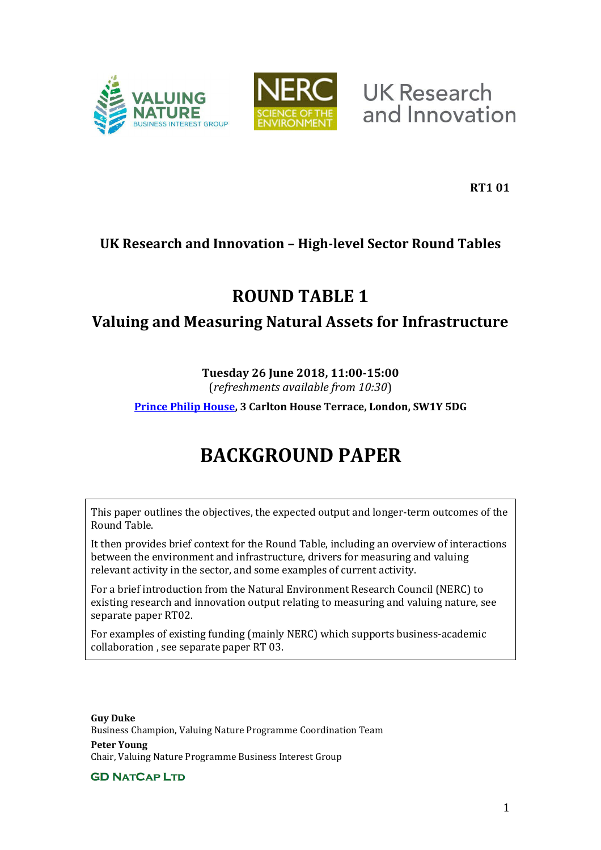



**UK Research** and Innovation

**RT1 01**

# **UK Research and Innovation – High-level Sector Round Tables**

# **ROUND TABLE 1**

# **Valuing and Measuring Natural Assets for Infrastructure**

# **Tuesday 26 June 2018, 11:00-15:00**

(*refreshments available from 10:30*)

**[Prince Philip House,](https://www.princephiliphouse.com/) 3 Carlton House Terrace, London, SW1Y 5DG** 

# **BACKGROUND PAPER**

This paper outlines the objectives, the expected output and longer-term outcomes of the Round Table.

It then provides brief context for the Round Table, including an overview of interactions between the environment and infrastructure, drivers for measuring and valuing relevant activity in the sector, and some examples of current activity.

For a brief introduction from the Natural Environment Research Council (NERC) to existing research and innovation output relating to measuring and valuing nature, see separate paper RT02.

For examples of existing funding (mainly NERC) which supports business-academic collaboration , see separate paper RT 03.

**Guy Duke**  Business Champion, Valuing Nature Programme Coordination Team **Peter Young**  Chair, Valuing Nature Programme Business Interest Group

**GD NATCAP LTD**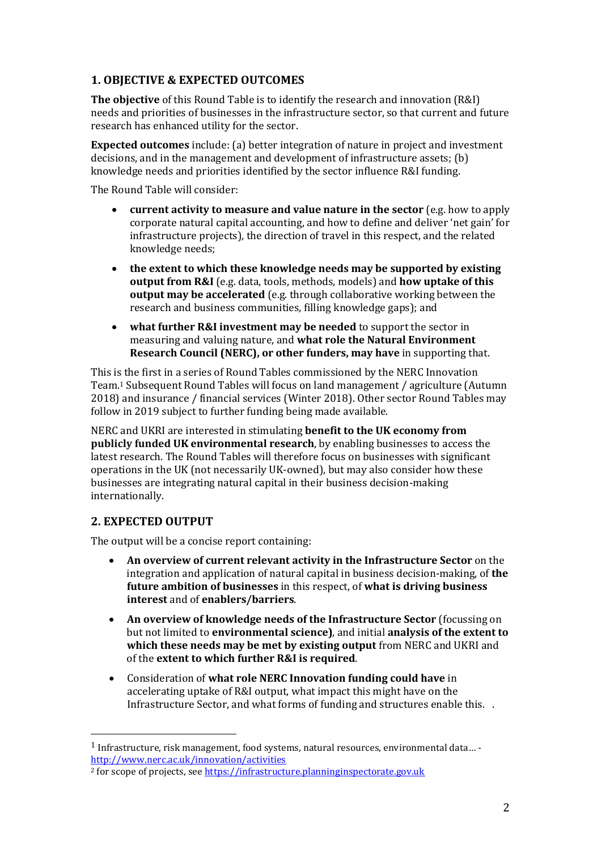## **1. OBJECTIVE & EXPECTED OUTCOMES**

**The objective** of this Round Table is to identify the research and innovation (R&I) needs and priorities of businesses in the infrastructure sector, so that current and future research has enhanced utility for the sector.

**Expected outcomes** include: (a) better integration of nature in project and investment decisions, and in the management and development of infrastructure assets; (b) knowledge needs and priorities identified by the sector influence R&I funding.

The Round Table will consider:

- **current activity to measure and value nature in the sector** (e.g. how to apply corporate natural capital accounting, and how to define and deliver 'net gain' for infrastructure projects), the direction of travel in this respect, and the related knowledge needs;
- **the extent to which these knowledge needs may be supported by existing output from R&I** (e.g. data, tools, methods, models) and **how uptake of this output may be accelerated** (e.g. through collaborative working between the research and business communities, filling knowledge gaps); and
- **what further R&I investment may be needed** to support the sector in measuring and valuing nature, and **what role the Natural Environment Research Council (NERC), or other funders, may have** in supporting that.

This is the first in a series of Round Tables commissioned by the NERC Innovation Team.1 Subsequent Round Tables will focus on land management / agriculture (Autumn 2018) and insurance / financial services (Winter 2018). Other sector Round Tables may follow in 2019 subject to further funding being made available.

NERC and UKRI are interested in stimulating **benefit to the UK economy from publicly funded UK environmental research**, by enabling businesses to access the latest research. The Round Tables will therefore focus on businesses with significant operations in the UK (not necessarily UK-owned), but may also consider how these businesses are integrating natural capital in their business decision-making internationally.

## **2. EXPECTED OUTPUT**

 $\overline{a}$ 

The output will be a concise report containing:

- **An overview of current relevant activity in the Infrastructure Sector** on the integration and application of natural capital in business decision-making, of **the future ambition of businesses** in this respect, of **what is driving business interest** and of **enablers/barriers**.
- **An overview of knowledge needs of the Infrastructure Sector (focussing on** but not limited to **environmental science)**, and initial **analysis of the extent to which these needs may be met by existing output** from NERC and UKRI and of the **extent to which further R&I is required**.
- Consideration of **what role NERC Innovation funding could have** in accelerating uptake of R&I output, what impact this might have on the Infrastructure Sector, and what forms of funding and structures enable this. .

<sup>1</sup> Infrastructure, risk management, food systems, natural resources, environmental data… <http://www.nerc.ac.uk/innovation/activities>

<sup>&</sup>lt;sup>2</sup> for scope of projects, see https://infrastructure.planninginspectorate.gov.uk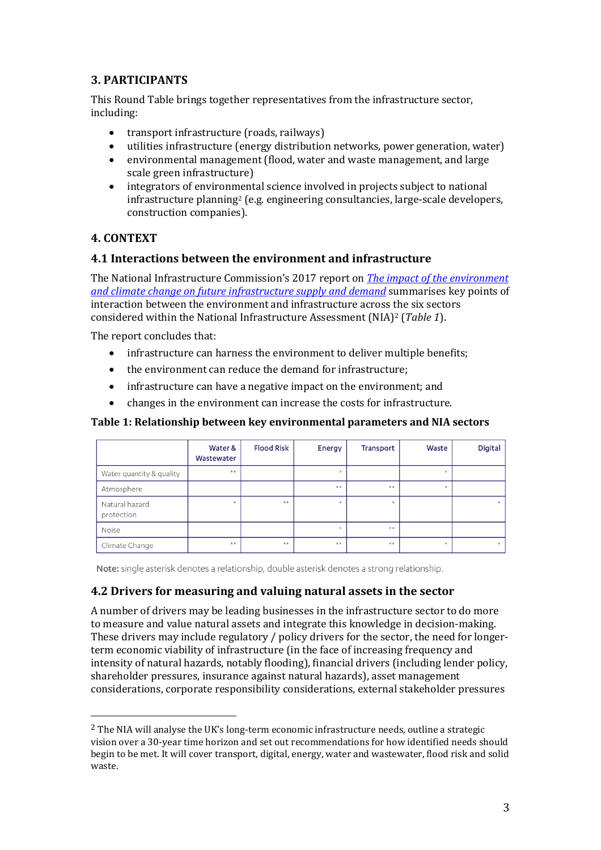## **3. PARTICIPANTS**

This Round Table brings together representatives from the infrastructure sector, including:

- transport infrastructure (roads, railways)
- utilities infrastructure (energy distribution networks, power generation, water)
- environmental management (flood, water and waste management, and large scale green infrastructure)
- integrators of environmental science involved in projects subject to national infrastructure planning2 (e.g. engineering consultancies, large-scale developers, construction companies).

#### **4. CONTEXT**

 $\overline{a}$ 

#### **4.1 Interactions between the environment and infrastructure**

The National Infrastructure Commission's 2017 report on *The impact of the environment [and climate change on future infrastructure supply and demand](https://www.nic.org.uk/publications/impact-environment-climate-change-future-infrastructure-supply-demand/)* summarises key points of interaction between the environment and infrastructure across the six sectors considered within the National Infrastructure Assessment (NIA)2 (*Table 1*).

The report concludes that:

- infrastructure can harness the environment to deliver multiple benefits;
- the environment can reduce the demand for infrastructure;
- infrastructure can have a negative impact on the environment; and
- changes in the environment can increase the costs for infrastructure.

#### **Table 1: Relationship between key environmental parameters and NIA sectors**

|                              | Water &<br>Wastewater | <b>Flood Risk</b> | Energy  | <b>Transport</b> | Waste   | Digital |
|------------------------------|-----------------------|-------------------|---------|------------------|---------|---------|
| Water quantity & quality     | $**$                  |                   | $\star$ |                  | $\star$ |         |
| Atmosphere                   |                       |                   | $**$    | $**$             |         |         |
| Natural hazard<br>protection |                       | $**$              | $\star$ | $\star$          |         | $\star$ |
| <b>Noise</b>                 |                       |                   | $\star$ | $**$             |         |         |
| Climate Change               | $**$                  | **                | $**$    | $**$             |         |         |

Note: single asterisk denotes a relationship, double asterisk denotes a strong relationship.

#### **4.2 Drivers for measuring and valuing natural assets in the sector**

A number of drivers may be leading businesses in the infrastructure sector to do more to measure and value natural assets and integrate this knowledge in decision-making. These drivers may include regulatory / policy drivers for the sector, the need for longerterm economic viability of infrastructure (in the face of increasing frequency and intensity of natural hazards, notably flooding), financial drivers (including lender policy, shareholder pressures, insurance against natural hazards), asset management considerations, corporate responsibility considerations, external stakeholder pressures

<sup>&</sup>lt;sup>2</sup> The NIA will analyse the UK's long-term economic infrastructure needs, outline a strategic vision over a 30-year time horizon and set out recommendations for how identified needs should begin to be met. It will cover transport, digital, energy, water and wastewater, flood risk and solid waste.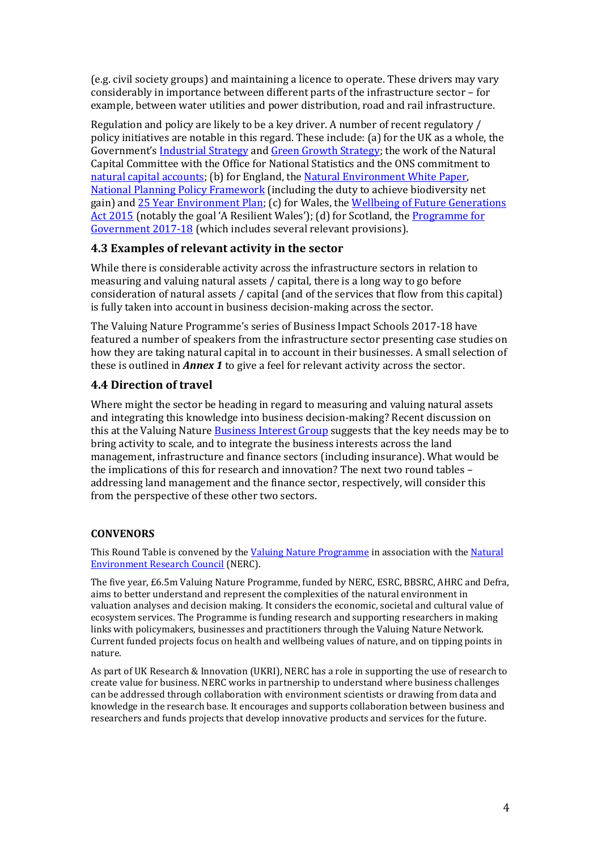(e.g. civil society groups) and maintaining a licence to operate. These drivers may vary considerably in importance between different parts of the infrastructure sector – for example, between water utilities and power distribution, road and rail infrastructure.

Regulation and policy are likely to be a key driver. A number of recent regulatory / policy initiatives are notable in this regard. These include: (a) for the UK as a whole, the Government's [Industrial Strategy](https://www.gov.uk/government/publications/industrial-strategy-building-a-britain-fit-for-the-future) an[d Green Growth Strategy;](https://www.gov.uk/government/publications/clean-growth-strategy) the work of the Natural Capital Committee with the Office for National Statistics and the ONS commitment to [natural capital accounts;](https://www.ons.gov.uk/economy/nationalaccounts/uksectoraccounts/methodologies/naturalcapital) (b) for England, the [Natural Environment White Paper,](https://assets.publishing.service.gov.uk/government/uploads/system/uploads/attachment_data/file/228842/8082.pdf) [National Planning Policy Framework \(](https://www.gov.uk/government/publications/national-planning-policy-framework--2)including the duty to achieve biodiversity net gain) an[d 25 Year Environment Plan;](https://www.gov.uk/government/publications/25-year-environment-plan) (c) for Wales, the Wellbeing of Future Generations [Act 2015](https://gov.wales/topics/people-and-communities/people/future-generations-act/?skip=1&lang=en) (notably the goal 'A Resilient Wales'); (d) for Scotland, the Programme for [Government 2017-18](http://www.gov.scot/Publications/2017/09/8468) (which includes several relevant provisions).

#### **4.3 Examples of relevant activity in the sector**

While there is considerable activity across the infrastructure sectors in relation to measuring and valuing natural assets / capital, there is a long way to go before consideration of natural assets / capital (and of the services that flow from this capital) is fully taken into account in business decision-making across the sector.

The Valuing Nature Programme's series of Business Impact Schools 2017-18 have featured a number of speakers from the infrastructure sector presenting case studies on how they are taking natural capital in to account in their businesses. A small selection of these is outlined in *Annex 1* to give a feel for relevant activity across the sector.

## **4.4 Direction of travel**

Where might the sector be heading in regard to measuring and valuing natural assets and integrating this knowledge into business decision-making? Recent discussion on this at the Valuing Nature [Business Interest Group](http://valuing-nature.net/business-interest-group) suggests that the key needs may be to bring activity to scale, and to integrate the business interests across the land management, infrastructure and finance sectors (including insurance). What would be the implications of this for research and innovation? The next two round tables – addressing land management and the finance sector, respectively, will consider this from the perspective of these other two sectors.

#### **CONVENORS**

This Round Table is convened by th[e Valuing Nature Programme i](http://valuing-nature.net/)n association with the [Natural](https://nerc.ukri.org/)  [Environment Research Council](https://nerc.ukri.org/) (NERC).

The five year, £6.5m Valuing Nature Programme, funded by NERC, ESRC, BBSRC, AHRC and Defra, aims to better understand and represent the complexities of the natural environment in valuation analyses and decision making. It considers the economic, societal and cultural value of ecosystem services. The Programme is funding research and supporting researchers in making links with policymakers, businesses and practitioners through the Valuing Nature Network. Current funded projects focus on health and wellbeing values of nature, and on tipping points in nature.

As part of UK Research & Innovation (UKRI), NERC has a role in supporting the use of research to create value for business. NERC works in partnership to understand where business challenges can be addressed through collaboration with environment scientists or drawing from data and knowledge in the research base. It encourages and supports collaboration between business and researchers and funds projects that develop innovative products and services for the future.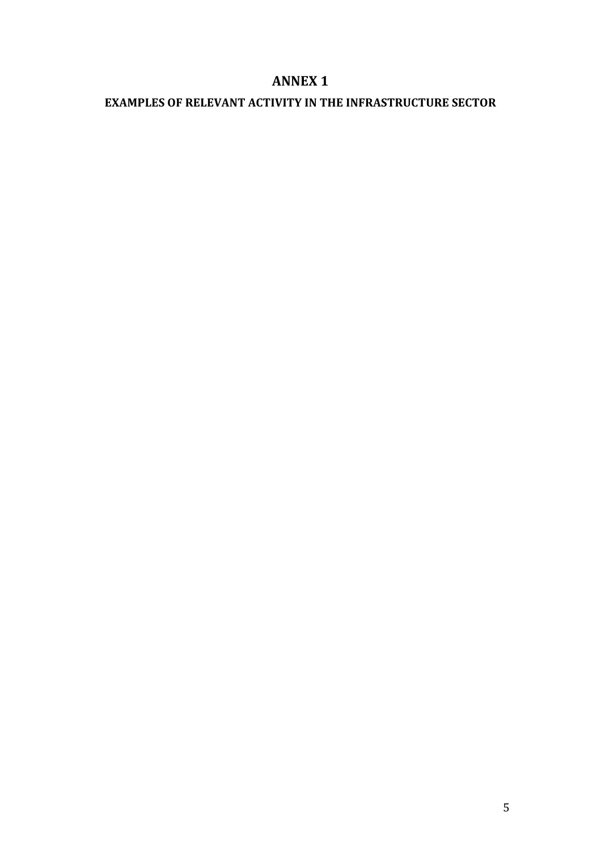# **ANNEX 1**

# **EXAMPLES OF RELEVANT ACTIVITY IN THE INFRASTRUCTURE SECTOR**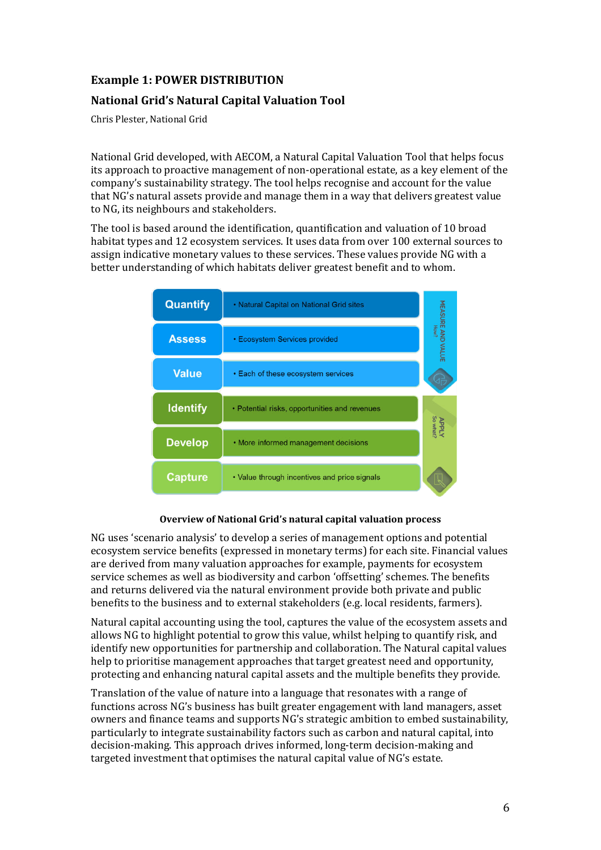## **Example 1: POWER DISTRIBUTION**

### **National Grid's Natural Capital Valuation Tool**

Chris Plester, National Grid

National Grid developed, with AECOM, a Natural Capital Valuation Tool that helps focus its approach to proactive management of non-operational estate, as a key element of the company's sustainability strategy. The tool helps recognise and account for the value that NG's natural assets provide and manage them in a way that delivers greatest value to NG, its neighbours and stakeholders.

The tool is based around the identification, quantification and valuation of 10 broad habitat types and 12 ecosystem services. It uses data from over 100 external sources to assign indicative monetary values to these services. These values provide NG with a better understanding of which habitats deliver greatest benefit and to whom.



#### **Overview of National Grid's natural capital valuation process**

NG uses 'scenario analysis' to develop a series of management options and potential ecosystem service benefits (expressed in monetary terms) for each site. Financial values are derived from many valuation approaches for example, payments for ecosystem service schemes as well as biodiversity and carbon 'offsetting' schemes. The benefits and returns delivered via the natural environment provide both private and public benefits to the business and to external stakeholders (e.g. local residents, farmers).

Natural capital accounting using the tool, captures the value of the ecosystem assets and allows NG to highlight potential to grow this value, whilst helping to quantify risk, and identify new opportunities for partnership and collaboration. The Natural capital values help to prioritise management approaches that target greatest need and opportunity, protecting and enhancing natural capital assets and the multiple benefits they provide.

Translation of the value of nature into a language that resonates with a range of functions across NG's business has built greater engagement with land managers, asset owners and finance teams and supports NGǯs strategic ambition to embed sustainability, particularly to integrate sustainability factors such as carbon and natural capital, into decision-making. This approach drives informed, long-term decision-making and targeted investment that optimises the natural capital value of NG's estate.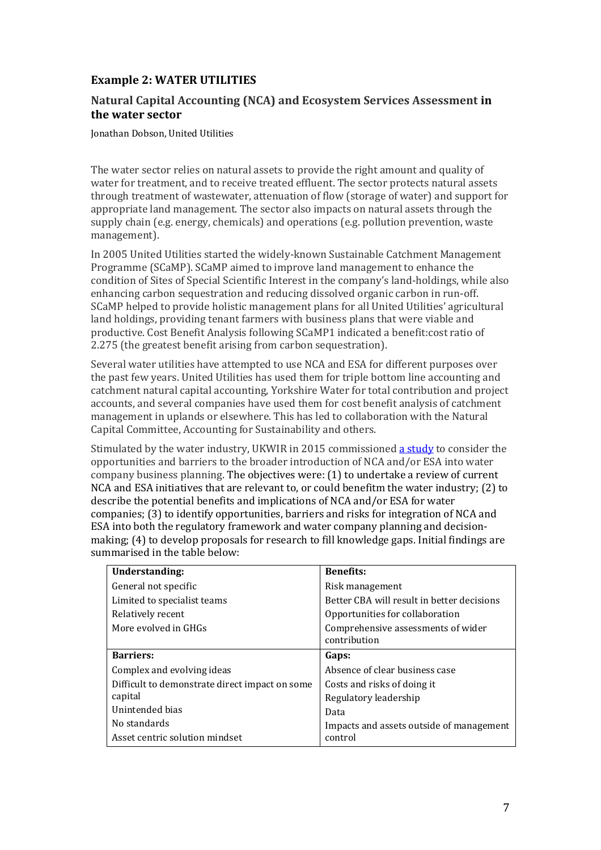## **Example 2: WATER UTILITIES**

#### **Natural Capital Accounting (NCA) and Ecosystem Services Assessment in the water sector**

Jonathan Dobson, United Utilities

The water sector relies on natural assets to provide the right amount and quality of water for treatment, and to receive treated effluent. The sector protects natural assets through treatment of wastewater, attenuation of flow (storage of water) and support for appropriate land management. The sector also impacts on natural assets through the supply chain (e.g. energy, chemicals) and operations (e.g. pollution prevention, waste management).

In 2005 United Utilities started the widely-known Sustainable Catchment Management Programme (SCaMP). SCaMP aimed to improve land management to enhance the condition of Sites of Special Scientific Interest in the companyǯs land-holdings, while also enhancing carbon sequestration and reducing dissolved organic carbon in run-off. SCaMP helped to provide holistic management plans for all United Utilities' agricultural land holdings, providing tenant farmers with business plans that were viable and productive. Cost Benefit Analysis following SCaMP1 indicated a benefit:cost ratio of 2.275 (the greatest benefit arising from carbon sequestration).

Several water utilities have attempted to use NCA and ESA for different purposes over the past few years. United Utilities has used them for triple bottom line accounting and catchment natural capital accounting, Yorkshire Water for total contribution and project accounts, and several companies have used them for cost benefit analysis of catchment management in uplands or elsewhere. This has led to collaboration with the Natural Capital Committee, Accounting for Sustainability and others.

Stimulated by the water industry, UKWIR in 2015 commissione[d a study t](https://www.ukwir.org/Benefits-and-limitations-of-integrating-Natural-Capital-Accounting-(NCA)-and-Ecosystem-Services-Assessment-(ESA)-into-water-company-activities)o consider the opportunities and barriers to the broader introduction of NCA and/or ESA into water company business planning. The objectives were: (1) to undertake a review of current NCA and ESA initiatives that are relevant to, or could benefitm the water industry; (2) to describe the potential benefits and implications of NCA and/or ESA for water companies; (3) to identify opportunities, barriers and risks for integration of NCA and ESA into both the regulatory framework and water company planning and decisionmaking; (4) to develop proposals for research to fill knowledge gaps. Initial findings are summarised in the table below:

| Understanding:                                 | <b>Benefits:</b>                                   |  |  |
|------------------------------------------------|----------------------------------------------------|--|--|
| General not specific                           | Risk management                                    |  |  |
| Limited to specialist teams                    | Better CBA will result in better decisions         |  |  |
| Relatively recent                              | Opportunities for collaboration                    |  |  |
| More evolved in GHGs                           | Comprehensive assessments of wider<br>contribution |  |  |
| <b>Barriers:</b>                               | Gaps:                                              |  |  |
| Complex and evolving ideas                     | Absence of clear business case                     |  |  |
| Difficult to demonstrate direct impact on some | Costs and risks of doing it                        |  |  |
| capital                                        | Regulatory leadership                              |  |  |
| Unintended bias                                | Data                                               |  |  |
| No standards                                   | Impacts and assets outside of management           |  |  |
| Asset centric solution mindset                 | control                                            |  |  |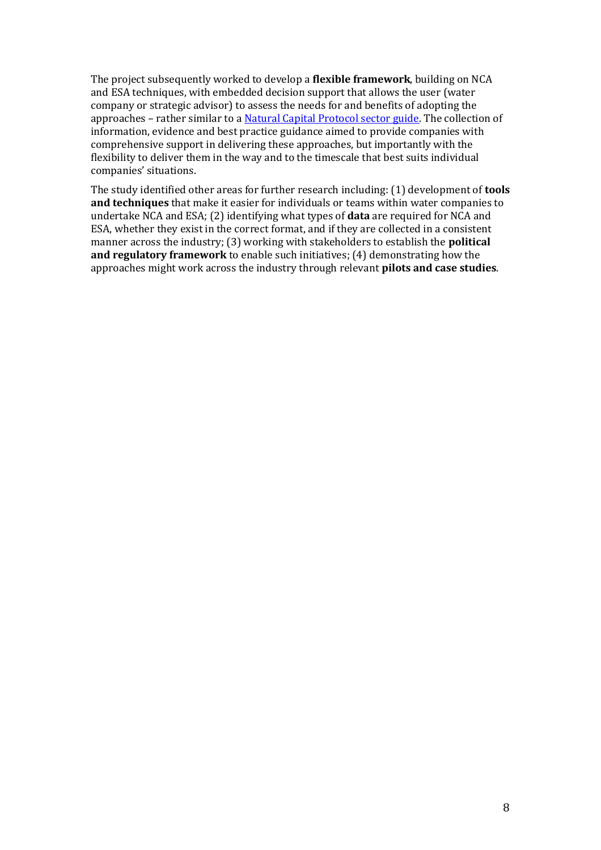The project subsequently worked to develop a **flexible framework**, building on NCA and ESA techniques, with embedded decision support that allows the user (water company or strategic advisor) to assess the needs for and benefits of adopting the approaches – rather similar to a [Natural Capital Protocol sector guide.](https://naturalcapitalcoalition.org/protocol/sector-guides/) The collection of information, evidence and best practice guidance aimed to provide companies with comprehensive support in delivering these approaches, but importantly with the flexibility to deliver them in the way and to the timescale that best suits individual companies' situations.

The study identified other areas for further research including: (1) development of **tools and techniques** that make it easier for individuals or teams within water companies to undertake NCA and ESA; (2) identifying what types of **data** are required for NCA and ESA, whether they exist in the correct format, and if they are collected in a consistent manner across the industry; (3) working with stakeholders to establish the **political and regulatory framework** to enable such initiatives; (4) demonstrating how the approaches might work across the industry through relevant **pilots and case studies**.